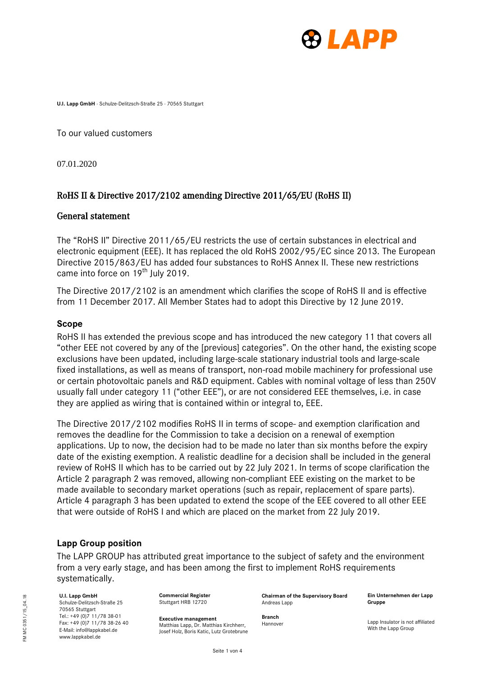

**U.I. Lapp GmbH** · Schulze-Delitzsch-Straße 25 · 70565 Stuttgart

To our valued customers

07.01.2020

# RoHS II & Directive 2017/2102 amending Directive 2011/65/EU (RoHS II)

## General statement

The "RoHS II" Directive 2011/65/EU restricts the use of certain substances in electrical and electronic equipment (EEE). It has replaced the old RoHS 2002/95/EC since 2013. The European Directive 2015/863/EU has added four substances to RoHS Annex II. These new restrictions came into force on  $19<sup>th</sup>$  July 2019.

The Directive 2017/2102 is an amendment which clarifies the scope of RoHS II and is effective from 11 December 2017. All Member States had to adopt this Directive by 12 June 2019.

## **Scope**

RoHS II has extended the previous scope and has introduced the new category 11 that covers all "other EEE not covered by any of the [previous] categories". On the other hand, the existing scope exclusions have been updated, including large-scale stationary industrial tools and large-scale fixed installations, as well as means of transport, non-road mobile machinery for professional use or certain photovoltaic panels and R&D equipment. Cables with nominal voltage of less than 250V usually fall under category 11 ("other EEE"), or are not considered EEE themselves, i.e. in case they are applied as wiring that is contained within or integral to, EEE.

The Directive 2017/2102 modifies RoHS II in terms of scope- and exemption clarification and removes the deadline for the Commission to take a decision on a renewal of exemption applications. Up to now, the decision had to be made no later than six months before the expiry date of the existing exemption. A realistic deadline for a decision shall be included in the general review of RoHS II which has to be carried out by 22 July 2021. In terms of scope clarification the Article 2 paragraph 2 was removed, allowing non-compliant EEE existing on the market to be made available to secondary market operations (such as repair, replacement of spare parts). Article 4 paragraph 3 has been updated to extend the scope of the EEE covered to all other EEE that were outside of RoHS I and which are placed on the market from 22 July 2019.

## **Lapp Group position**

The LAPP GROUP has attributed great importance to the subject of safety and the environment from a very early stage, and has been among the first to implement RoHS requirements systematically.

### **U.I. Lapp GmbH**

Schulze-Delitzsch-Straße 25 70565 Stuttgart Tel.: +49 (0)7 11/78 38-01  $F_{\text{av: +49}}$  (0) 7 11/78 38-26 40 E-Mail: info@lappkabel.de www.lappkabel.de

**Commercial Register** Stuttgart HRB 12720

**Executive management** Matthias Lapp, Dr. Matthias Kirchherr Josef Holz, Boris Katic, Lutz Grotebrune **Chairman of the Supervisory Board** Andreas Lapp

**Ein Unternehmen der Lapp Gruppe**

**Branch** Hannover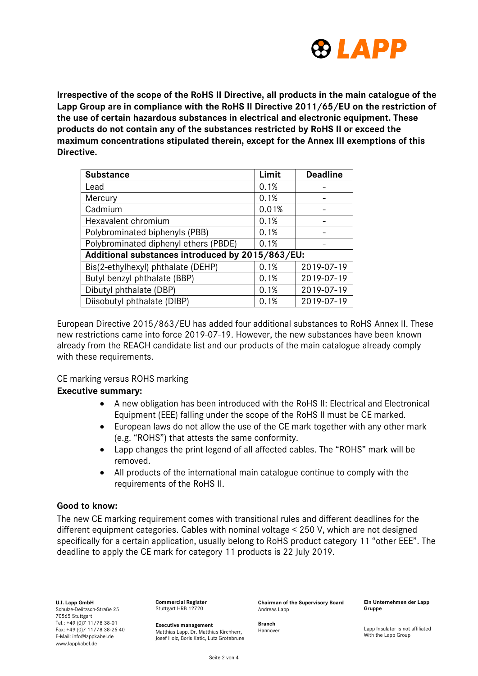

**Irrespective of the scope of the RoHS II Directive, all products in the main catalogue of the Lapp Group are in compliance with the RoHS II Directive 2011/65/EU on the restriction of the use of certain hazardous substances in electrical and electronic equipment. These products do not contain any of the substances restricted by RoHS II or exceed the maximum concentrations stipulated therein, except for the Annex III exemptions of this Directive.**

| <b>Substance</b>                                 | Limit | <b>Deadline</b> |  |  |  |
|--------------------------------------------------|-------|-----------------|--|--|--|
| Lead                                             | 0.1%  |                 |  |  |  |
| Mercury                                          | 0.1%  |                 |  |  |  |
| Cadmium                                          | 0.01% |                 |  |  |  |
| Hexavalent chromium                              | 0.1%  |                 |  |  |  |
| Polybrominated biphenyls (PBB)                   | 0.1%  |                 |  |  |  |
| Polybrominated diphenyl ethers (PBDE)            | 0.1%  |                 |  |  |  |
| Additional substances introduced by 2015/863/EU: |       |                 |  |  |  |
| Bis(2-ethylhexyl) phthalate (DEHP)               | 0.1%  | 2019-07-19      |  |  |  |
| Butyl benzyl phthalate (BBP)                     | 0.1%  | 2019-07-19      |  |  |  |
| Dibutyl phthalate (DBP)                          | 0.1%  | 2019-07-19      |  |  |  |
| Diisobutyl phthalate (DIBP)                      | 0.1%  | 2019-07-19      |  |  |  |

European Directive 2015/863/EU has added four additional substances to RoHS Annex II. These new restrictions came into force 2019-07-19. However, the new substances have been known already from the REACH candidate list and our products of the main catalogue already comply with these requirements.

CE marking versus ROHS marking

## **Executive summary:**

- A new obligation has been introduced with the RoHS II: Electrical and Electronical Equipment (EEE) falling under the scope of the RoHS II must be CE marked.
- European laws do not allow the use of the CE mark together with any other mark (e.g. "ROHS") that attests the same conformity.
- Lapp changes the print legend of all affected cables. The "ROHS" mark will be removed.
- All products of the international main catalogue continue to comply with the requirements of the RoHS II.

## **Good to know:**

The new CE marking requirement comes with transitional rules and different deadlines for the different equipment categories. Cables with nominal voltage < 250 V, which are not designed specifically for a certain application, usually belong to RoHS product category 11 "other EEE". The deadline to apply the CE mark for category 11 products is 22 July 2019.

**U.I. Lapp GmbH** Schulze-Delitzsch-Straße 25 70565 Stuttgart  $T = 1 \cdot 149 (0) \cdot 711/7838 - 01$ Fax: +49 (0)7 11/78 38-26 40 E-Mail: info@lappkabel.de www.lappkabel.de

**Commercial Register** Stuttgart HRB 12720

**Executive management** Matthias Lapp, Dr. Matthias Kirchherr, Josef Holz, Boris Katic, Lutz Grotebrune **Chairman of the Supervisory Board** Andreas Lapp

**Ein Unternehmen der Lapp Gruppe**

**Branch** Hannover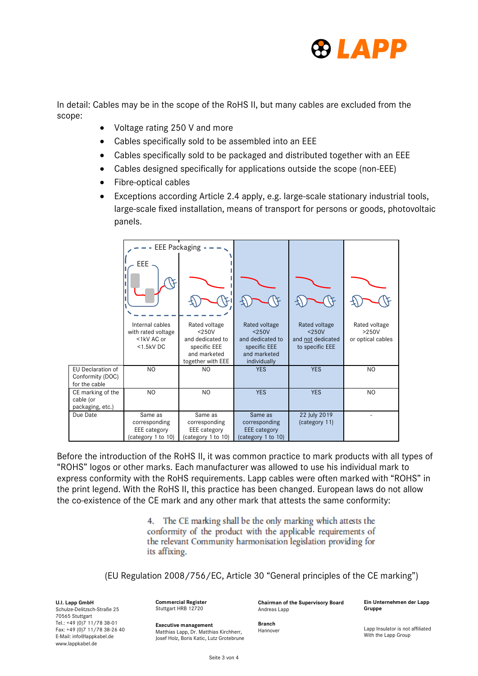

In detail: Cables may be in the scope of the RoHS II, but many cables are excluded from the scope:

- Voltage rating 250 V and more
- Cables specifically sold to be assembled into an EEE
- Cables specifically sold to be packaged and distributed together with an EEE
- Cables designed specifically for applications outside the scope (non-EEE)
- Fibre-optical cables
- Exceptions according Article 2.4 apply, e.g. large-scale stationary industrial tools, large-scale fixed installation, means of transport for persons or goods, photovoltaic panels.

|                                                        | <b>EEE Packaging</b>                                                              |                                                                                                    |                                                                                               |                                                                   |                                               |
|--------------------------------------------------------|-----------------------------------------------------------------------------------|----------------------------------------------------------------------------------------------------|-----------------------------------------------------------------------------------------------|-------------------------------------------------------------------|-----------------------------------------------|
|                                                        | <b>EEE</b><br>Internal cables<br>with rated voltage<br><1kV AC or<br>$<$ 1.5kV DC | Rated voltage<br>$<$ 250V<br>and dedicated to<br>specific EEE<br>and marketed<br>together with EEE | Rated voltage<br>$<$ 250V<br>and dedicated to<br>specific EEE<br>and marketed<br>individually | Rated voltage<br>$<$ 250V<br>and not dedicated<br>to specific EEE | Rated voltage<br>$>250V$<br>or optical cables |
| EU Declaration of<br>Conformity (DOC)<br>for the cable | N <sub>O</sub>                                                                    | N <sub>O</sub>                                                                                     | <b>YES</b>                                                                                    | <b>YES</b>                                                        | N <sub>O</sub>                                |
| CE marking of the<br>cable (or<br>packaging, etc.)     | <b>NO</b>                                                                         | N <sub>O</sub>                                                                                     | <b>YES</b>                                                                                    | <b>YES</b>                                                        | N <sub>O</sub>                                |
| Due Date                                               | Same as<br>corresponding<br>EEE category<br>(category 1 to 10)                    | Same as<br>corresponding<br><b>EEE</b> category<br>(category 1 to 10)                              | Same as<br>corresponding<br><b>EEE</b> category<br>(category 1 to 10)                         | 22 July 2019<br>(category 11)                                     |                                               |

Before the introduction of the RoHS II, it was common practice to mark products with all types of "ROHS" logos or other marks. Each manufacturer was allowed to use his individual mark to express conformity with the RoHS requirements. Lapp cables were often marked with "ROHS" in the print legend. With the RoHS II, this practice has been changed. European laws do not allow the co-existence of the CE mark and any other mark that attests the same conformity:

> 4. The CE marking shall be the only marking which attests the conformity of the product with the applicable requirements of the relevant Community harmonisation legislation providing for its affixing.

(EU Regulation 2008/756/EC, Article 30 "General principles of the CE marking")

**U.I. Lapp GmbH** Schulze-Delitzsch-Straße 25 70565 Stuttgart Tel.: +49 (0)7 11/78 38-01 Fax: +49 (0)7 11/78 38-26 40 E-Mail: info@lappkabel.de www.lappkabel.de

**Commercial Register** Stuttgart HRB 12720

**Chairman of the Supervisory Board** Andreas Lapp

**Ein Unternehmen der Lapp Gruppe**

**Executive management** Matthias Lapp, Dr. Matthias Kirchherr, Josef Holz, Boris Katic, Lutz Grotebrune **Branch** Hannover